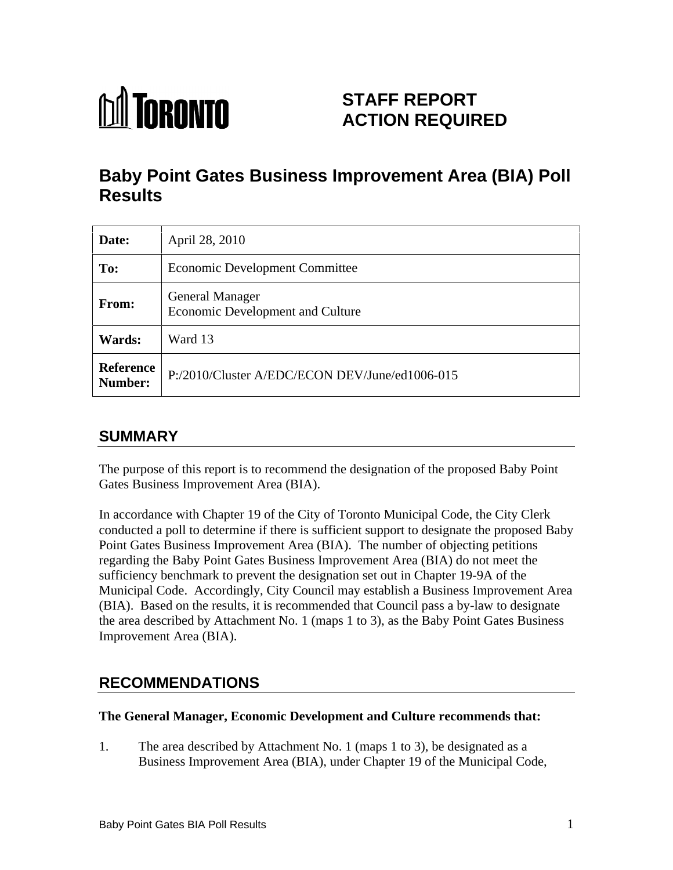

# **STAFF REPORT ACTION REQUIRED**

# **Baby Point Gates Business Improvement Area (BIA) Poll Results**

| Date:                | April 28, 2010                                                    |
|----------------------|-------------------------------------------------------------------|
| To:                  | Economic Development Committee                                    |
| From:                | <b>General Manager</b><br><b>Economic Development and Culture</b> |
| Wards:               | Ward 13                                                           |
| Reference<br>Number: | P:/2010/Cluster A/EDC/ECON DEV/June/ed1006-015                    |

## **SUMMARY**

The purpose of this report is to recommend the designation of the proposed Baby Point Gates Business Improvement Area (BIA).

In accordance with Chapter 19 of the City of Toronto Municipal Code, the City Clerk conducted a poll to determine if there is sufficient support to designate the proposed Baby Point Gates Business Improvement Area (BIA). The number of objecting petitions regarding the Baby Point Gates Business Improvement Area (BIA) do not meet the sufficiency benchmark to prevent the designation set out in Chapter 19-9A of the Municipal Code. Accordingly, City Council may establish a Business Improvement Area (BIA). Based on the results, it is recommended that Council pass a by-law to designate the area described by Attachment No. 1 (maps 1 to 3), as the Baby Point Gates Business Improvement Area (BIA).

# **RECOMMENDATIONS**

#### **The General Manager, Economic Development and Culture recommends that:**

1. The area described by Attachment No. 1 (maps 1 to 3), be designated as a Business Improvement Area (BIA), under Chapter 19 of the Municipal Code,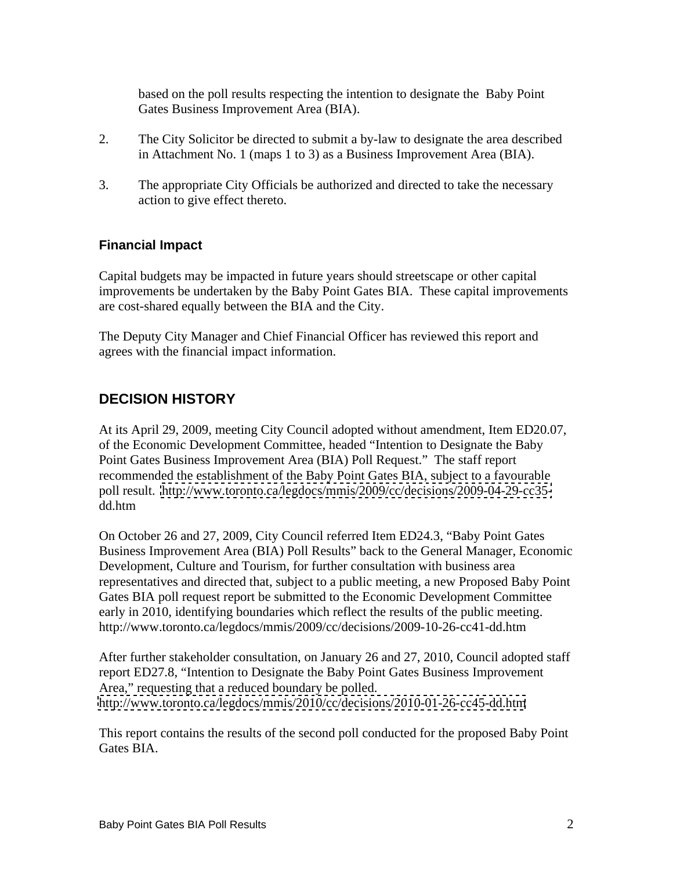based on the poll results respecting the intention to designate the Baby Point Gates Business Improvement Area (BIA).

- 2. The City Solicitor be directed to submit a by-law to designate the area described in Attachment No. 1 (maps 1 to 3) as a Business Improvement Area (BIA).
- 3. The appropriate City Officials be authorized and directed to take the necessary action to give effect thereto.

#### **Financial Impact**

Capital budgets may be impacted in future years should streetscape or other capital improvements be undertaken by the Baby Point Gates BIA. These capital improvements are cost-shared equally between the BIA and the City.

The Deputy City Manager and Chief Financial Officer has reviewed this report and agrees with the financial impact information.

### **DECISION HISTORY**

At its April 29, 2009, meeting City Council adopted without amendment, Item ED20.07, of the Economic Development Committee, headed "Intention to Designate the Baby Point Gates Business Improvement Area (BIA) Poll Request." The staff report recommended the establishment of the Baby Point Gates BIA, subject to a favourable poll result. [http://www.toronto.ca/legdocs/mmis/2009/cc/decisions/2009-04-29-cc35](http://www.toronto.ca/legdocs/mmis/2009/cc/decisions/2009-04-29-cc35-) dd.htm

On October 26 and 27, 2009, City Council referred Item ED24.3, "Baby Point Gates Business Improvement Area (BIA) Poll Results" back to the General Manager, Economic Development, Culture and Tourism, for further consultation with business area representatives and directed that, subject to a public meeting, a new Proposed Baby Point Gates BIA poll request report be submitted to the Economic Development Committee early in 2010, identifying boundaries which reflect the results of the public meeting. http://www.toronto.ca/legdocs/mmis/2009/cc/decisions/2009-10-26-cc41-dd.htm

After further stakeholder consultation, on January 26 and 27, 2010, Council adopted staff report ED27.8, "Intention to Designate the Baby Point Gates Business Improvement Area," requesting that a reduced boundary be polled.<br><http://www.toronto.ca/legdocs/mmis/2010/cc/decisions/2010-01-26-cc45-dd.htm>

This report contains the results of the second poll conducted for the proposed Baby Point Gates BIA.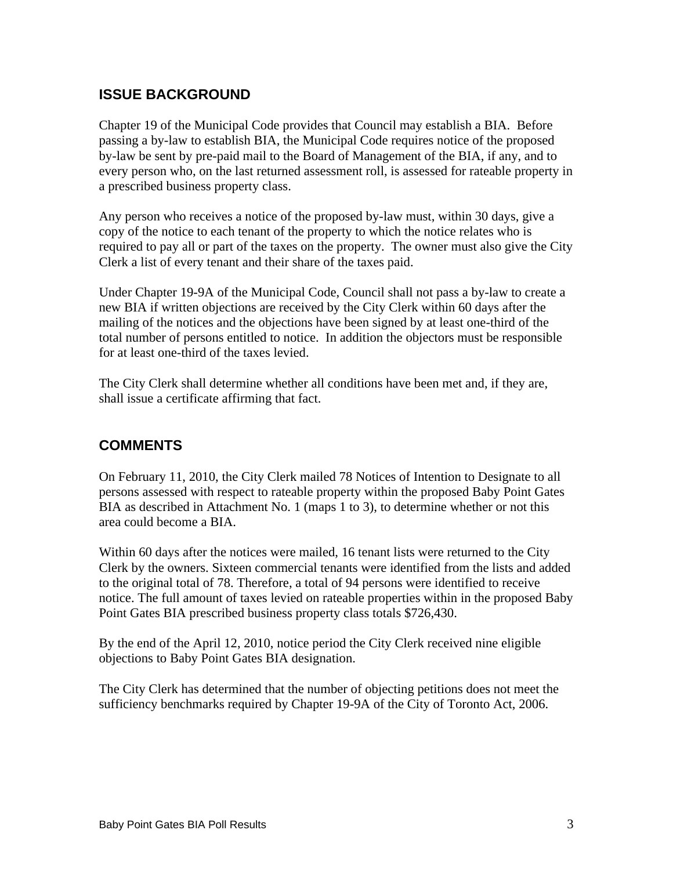### **ISSUE BACKGROUND**

Chapter 19 of the Municipal Code provides that Council may establish a BIA. Before passing a by-law to establish BIA, the Municipal Code requires notice of the proposed by-law be sent by pre-paid mail to the Board of Management of the BIA, if any, and to every person who, on the last returned assessment roll, is assessed for rateable property in a prescribed business property class.

Any person who receives a notice of the proposed by-law must, within 30 days, give a copy of the notice to each tenant of the property to which the notice relates who is required to pay all or part of the taxes on the property. The owner must also give the City Clerk a list of every tenant and their share of the taxes paid.

Under Chapter 19-9A of the Municipal Code, Council shall not pass a by-law to create a new BIA if written objections are received by the City Clerk within 60 days after the mailing of the notices and the objections have been signed by at least one-third of the total number of persons entitled to notice. In addition the objectors must be responsible for at least one-third of the taxes levied.

The City Clerk shall determine whether all conditions have been met and, if they are, shall issue a certificate affirming that fact.

### **COMMENTS**

On February 11, 2010, the City Clerk mailed 78 Notices of Intention to Designate to all persons assessed with respect to rateable property within the proposed Baby Point Gates BIA as described in Attachment No. 1 (maps 1 to 3), to determine whether or not this area could become a BIA.

Within 60 days after the notices were mailed, 16 tenant lists were returned to the City Clerk by the owners. Sixteen commercial tenants were identified from the lists and added to the original total of 78. Therefore, a total of 94 persons were identified to receive notice. The full amount of taxes levied on rateable properties within in the proposed Baby Point Gates BIA prescribed business property class totals \$726,430.

By the end of the April 12, 2010, notice period the City Clerk received nine eligible objections to Baby Point Gates BIA designation.

The City Clerk has determined that the number of objecting petitions does not meet the sufficiency benchmarks required by Chapter 19-9A of the City of Toronto Act, 2006.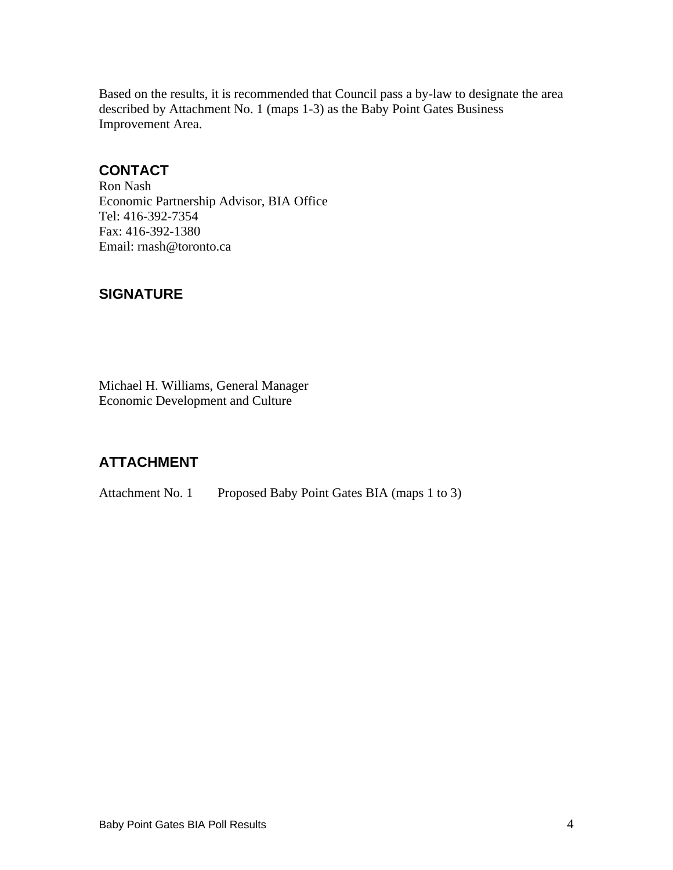Based on the results, it is recommended that Council pass a by-law to designate the area described by Attachment No. 1 (maps 1-3) as the Baby Point Gates Business Improvement Area.

### **CONTACT**

Ron Nash Economic Partnership Advisor, BIA Office Tel: 416-392-7354<br>Fax: 416-392-1380<br>Email: rnash@toronto.ca

### **SIGNATURE**

Michael H. Williams, General Manager Economic Development and Culture

## **ATTACHMENT**

Attachment No. 1 Proposed Baby Point Gates BIA (maps 1 to 3)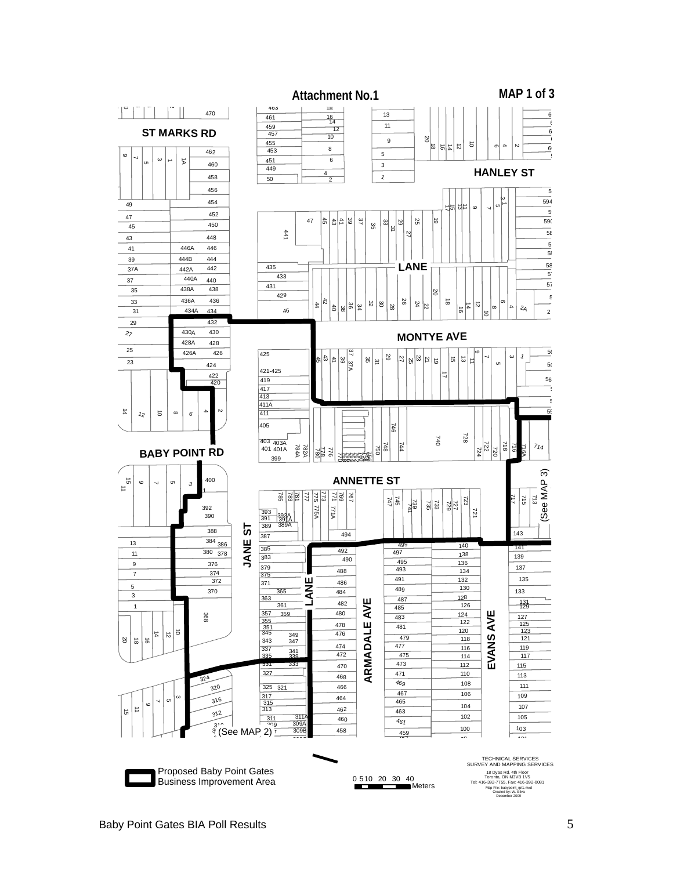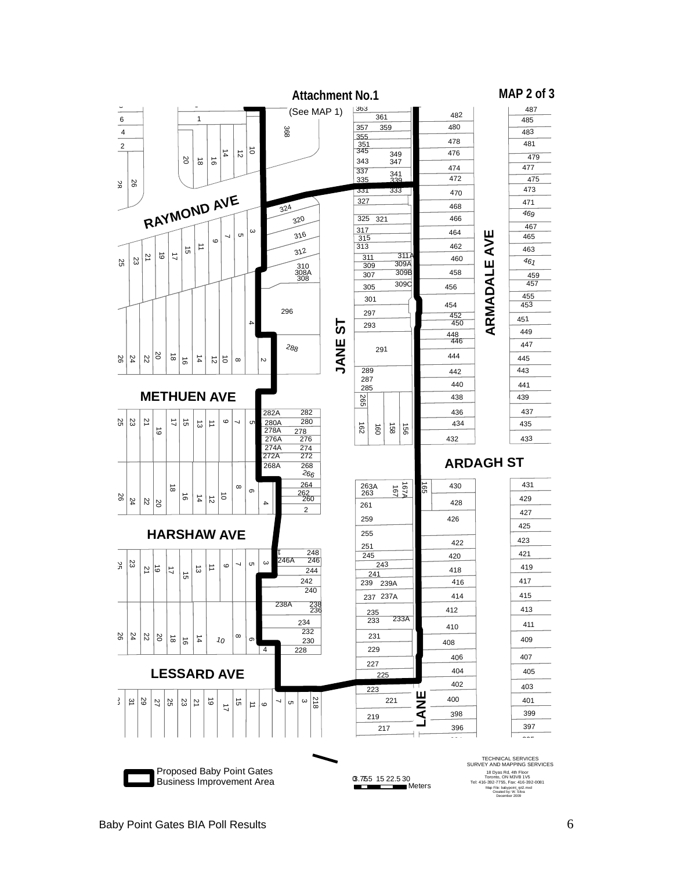